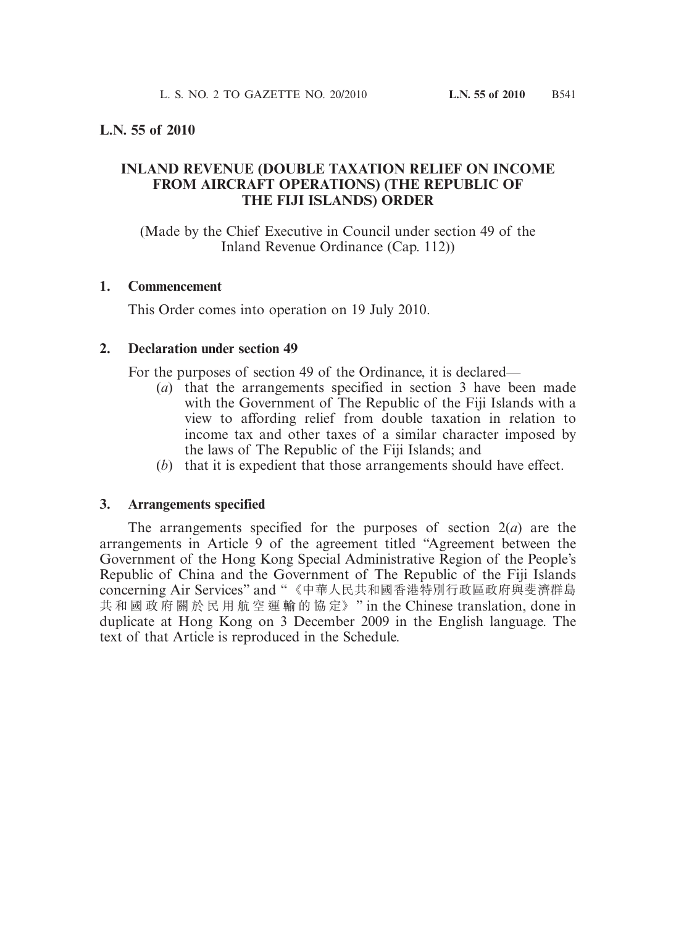# **L.N. 55 of 2010**

# **INLAND REVENUE (DOUBLE TAXATION RELIEF ON INCOME FROM AIRCRAFT OPERATIONS) (THE REPUBLIC OF THE FIJI ISLANDS) ORDER**

(Made by the Chief Executive in Council under section 49 of the Inland Revenue Ordinance (Cap. 112))

### **1. Commencement**

This Order comes into operation on 19 July 2010.

### **2. Declaration under section 49**

For the purposes of section 49 of the Ordinance, it is declared—

- (*a*) that the arrangements specified in section 3 have been made with the Government of The Republic of the Fiji Islands with a view to affording relief from double taxation in relation to income tax and other taxes of a similar character imposed by the laws of The Republic of the Fiji Islands; and
- (*b*) that it is expedient that those arrangements should have effect.

#### **3. Arrangements specified**

 The arrangements specified for the purposes of section 2(*a*) are the arrangements in Article 9 of the agreement titled "Agreement between the Government of the Hong Kong Special Administrative Region of the People's Republic of China and the Government of The Republic of the Fiji Islands concerning Air Services" and "《中華人民共和國香港特別行政區政府與斐濟群島 共 和 國 政 府 關 於 民 用 航 空 運 輸 的 協 定》" in the Chinese translation, done in duplicate at Hong Kong on 3 December 2009 in the English language. The text of that Article is reproduced in the Schedule.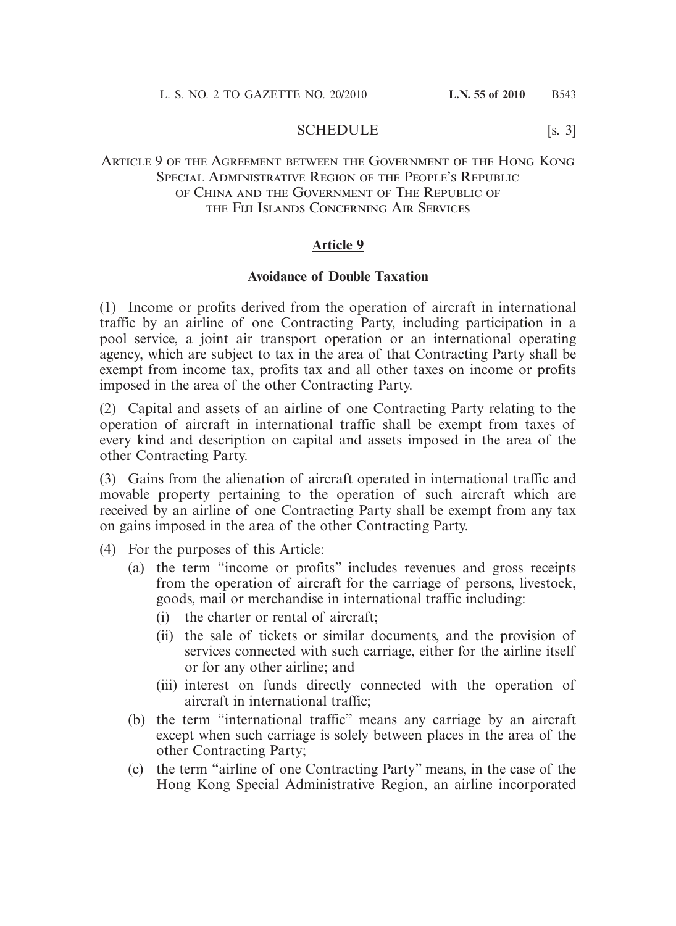#### SCHEDULE [s. 3]

## Article 9 of the Agreement between the Government of the Hong Kong SPECIAL ADMINISTRATIVE REGION OF THE PEOPLE'S REPUBLIC of China and the Government of The Republic of the Fiji Islands Concerning Air Services

### **Article 9**

#### **Avoidance of Double Taxation**

(1) Income or profits derived from the operation of aircraft in international traffic by an airline of one Contracting Party, including participation in a pool service, a joint air transport operation or an international operating agency, which are subject to tax in the area of that Contracting Party shall be exempt from income tax, profits tax and all other taxes on income or profits imposed in the area of the other Contracting Party.

(2) Capital and assets of an airline of one Contracting Party relating to the operation of aircraft in international traffic shall be exempt from taxes of every kind and description on capital and assets imposed in the area of the other Contracting Party.

(3) Gains from the alienation of aircraft operated in international traffic and movable property pertaining to the operation of such aircraft which are received by an airline of one Contracting Party shall be exempt from any tax on gains imposed in the area of the other Contracting Party.

- (4) For the purposes of this Article:
	- (a) the term "income or profits" includes revenues and gross receipts from the operation of aircraft for the carriage of persons, livestock, goods, mail or merchandise in international traffic including:
		- (i) the charter or rental of aircraft;
		- (ii) the sale of tickets or similar documents, and the provision of services connected with such carriage, either for the airline itself or for any other airline; and
		- (iii) interest on funds directly connected with the operation of aircraft in international traffic;
	- (b) the term "international traffic" means any carriage by an aircraft except when such carriage is solely between places in the area of the other Contracting Party;
	- (c) the term "airline of one Contracting Party" means, in the case of the Hong Kong Special Administrative Region, an airline incorporated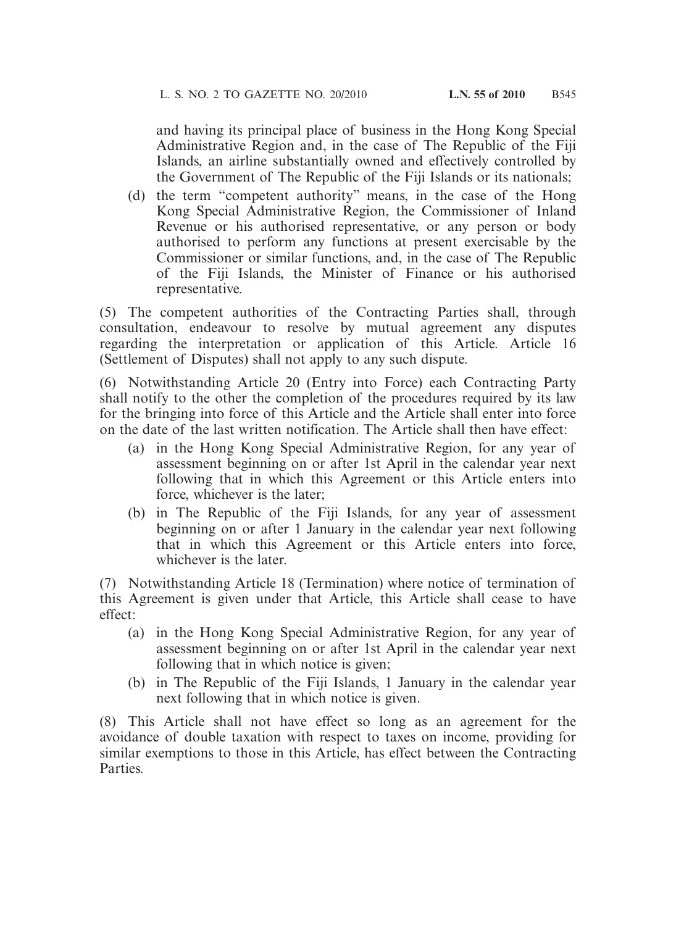and having its principal place of business in the Hong Kong Special Administrative Region and, in the case of The Republic of the Fiji Islands, an airline substantially owned and effectively controlled by the Government of The Republic of the Fiji Islands or its nationals;

(d) the term "competent authority" means, in the case of the Hong Kong Special Administrative Region, the Commissioner of Inland Revenue or his authorised representative, or any person or body authorised to perform any functions at present exercisable by the Commissioner or similar functions, and, in the case of The Republic of the Fiji Islands, the Minister of Finance or his authorised representative.

(5) The competent authorities of the Contracting Parties shall, through consultation, endeavour to resolve by mutual agreement any disputes regarding the interpretation or application of this Article. Article 16 (Settlement of Disputes) shall not apply to any such dispute.

(6) Notwithstanding Article 20 (Entry into Force) each Contracting Party shall notify to the other the completion of the procedures required by its law for the bringing into force of this Article and the Article shall enter into force on the date of the last written notification. The Article shall then have effect:

- (a) in the Hong Kong Special Administrative Region, for any year of assessment beginning on or after 1st April in the calendar year next following that in which this Agreement or this Article enters into force, whichever is the later;
- (b) in The Republic of the Fiji Islands, for any year of assessment beginning on or after 1 January in the calendar year next following that in which this Agreement or this Article enters into force, whichever is the later.

(7) Notwithstanding Article 18 (Termination) where notice of termination of this Agreement is given under that Article, this Article shall cease to have effect:

- (a) in the Hong Kong Special Administrative Region, for any year of assessment beginning on or after 1st April in the calendar year next following that in which notice is given;
- (b) in The Republic of the Fiji Islands, 1 January in the calendar year next following that in which notice is given.

(8) This Article shall not have effect so long as an agreement for the avoidance of double taxation with respect to taxes on income, providing for similar exemptions to those in this Article, has effect between the Contracting Parties.